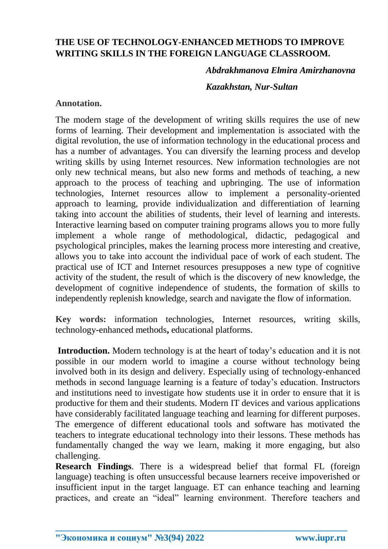# **THE USE OF TECHNOLOGY-ENHANCED METHODS TO IMPROVE WRITING SKILLS IN THE FOREIGN LANGUAGE CLASSROOM.**

## *Abdrakhmanova Elmira Amirzhanovna*

#### *Kazakhstan, Nur-Sultan*

## **Annotation.**

The modern stage of the development of writing skills requires the use of new forms of learning. Their development and implementation is associated with the digital revolution, the use of information technology in the educational process and has a number of advantages. You can diversify the learning process and develop writing skills by using Internet resources. New information technologies are not only new technical means, but also new forms and methods of teaching, a new approach to the process of teaching and upbringing. The use of information technologies, Internet resources allow to implement a personality-oriented approach to learning, provide individualization and differentiation of learning taking into account the abilities of students, their level of learning and interests. Interactive learning based on computer training programs allows you to more fully implement a whole range of methodological, didactic, pedagogical and psychological principles, makes the learning process more interesting and creative, allows you to take into account the individual pace of work of each student. The practical use of ICT and Internet resources presupposes a new type of cognitive activity of the student, the result of which is the discovery of new knowledge, the development of cognitive independence of students, the formation of skills to independently replenish knowledge, search and navigate the flow of information.

**Key words:** information technologies, Internet resources, writing skills, technology-enhanced methods**,** educational platforms.

**Introduction.** Modern technology is at the heart of today's education and it is not possible in our modern world to imagine a course without technology being involved both in its design and delivery. Especially using of technology-enhanced methods in second language learning is a feature of today's education. Instructors and institutions need to investigate how students use it in order to ensure that it is productive for them and their students. Modern IT devices and various applications have considerably facilitated language teaching and learning for different purposes. The emergence of different educational tools and software has motivated the teachers to integrate educational technology into their lessons. These methods has fundamentally changed the way we learn, making it more engaging, but also challenging.

**Research Findings**. There is a widespread belief that formal FL (foreign language) teaching is often unsuccessful because learners receive impoverished or insufficient input in the target language. ET can enhance teaching and learning practices, and create an "ideal" learning environment. Therefore teachers and

**\_\_\_\_\_\_\_\_\_\_\_\_\_\_\_\_\_\_\_\_\_\_\_\_\_\_\_\_\_\_\_\_\_\_\_\_\_\_\_\_\_\_\_\_\_\_\_\_\_\_\_\_\_\_\_\_\_\_\_\_\_\_\_\_**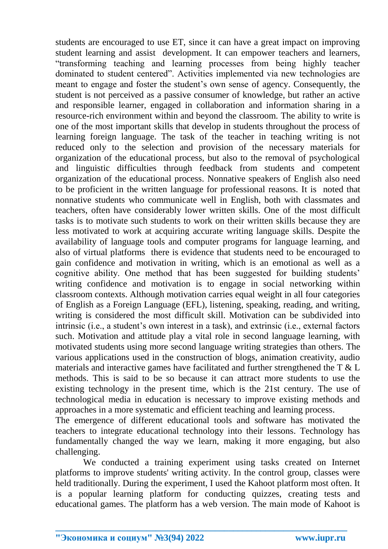students are encouraged to use ET, since it can have a great impact on improving student learning and assist development. It can empower teachers and learners, "transforming teaching and learning processes from being highly teacher dominated to student centered". Activities implemented via new technologies are meant to engage and foster the student's own sense of agency. Consequently, the student is not perceived as a passive consumer of knowledge, but rather an active and responsible learner, engaged in collaboration and information sharing in a resource-rich environment within and beyond the classroom. The ability to write is one of the most important skills that develop in students throughout the process of learning foreign language. The task of the teacher in teaching writing is not reduced only to the selection and provision of the necessary materials for organization of the educational process, but also to the removal of psychological and linguistic difficulties through feedback from students and competent organization of the educational process. Nonnative speakers of English also need to be proficient in the written language for professional reasons. It is noted that nonnative students who communicate well in English, both with classmates and teachers, often have considerably lower written skills. One of the most difficult tasks is to motivate such students to work on their written skills because they are less motivated to work at acquiring accurate writing language skills. Despite the availability of language tools and computer programs for language learning, and also of virtual platforms there is evidence that students need to be encouraged to gain confidence and motivation in writing, which is an emotional as well as a cognitive ability. One method that has been suggested for building students' writing confidence and motivation is to engage in social networking within classroom contexts. Although motivation carries equal weight in all four categories of English as a Foreign Language (EFL), listening, speaking, reading, and writing, writing is considered the most difficult skill. Motivation can be subdivided into intrinsic (i.e., a student's own interest in a task), and extrinsic (i.e., external factors such. Motivation and attitude play a vital role in second language learning, with motivated students using more second language writing strategies than others. The various applications used in the construction of blogs, animation creativity, audio materials and interactive games have facilitated and further strengthened the T & L methods. This is said to be so because it can attract more students to use the existing technology in the present time, which is the 21st century. The use of technological media in education is necessary to improve existing methods and approaches in a more systematic and efficient teaching and learning process.

The emergence of different educational tools and software has motivated the teachers to integrate educational technology into their lessons. Technology has fundamentally changed the way we learn, making it more engaging, but also challenging.

We conducted a training experiment using tasks created on Internet platforms to improve students' writing activity. In the control group, classes were held traditionally. During the experiment, I used the Kahoot platform most often. It is a popular learning platform for conducting quizzes, creating tests and educational games. The platform has a web version. The main mode of Kahoot is

**\_\_\_\_\_\_\_\_\_\_\_\_\_\_\_\_\_\_\_\_\_\_\_\_\_\_\_\_\_\_\_\_\_\_\_\_\_\_\_\_\_\_\_\_\_\_\_\_\_\_\_\_\_\_\_\_\_\_\_\_\_\_\_\_**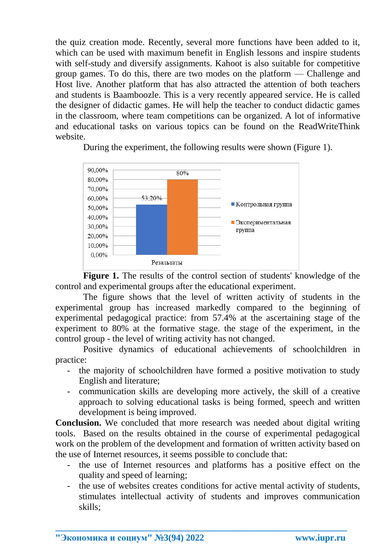the quiz creation mode. Recently, several more functions have been added to it, which can be used with maximum benefit in English lessons and inspire students with self-study and diversify assignments. Kahoot is also suitable for competitive group games. To do this, there are two modes on the platform — Challenge and Host live. Another platform that has also attracted the attention of both teachers and students is Baamboozle. This is a very recently appeared service. He is called the designer of didactic games. He will help the teacher to conduct didactic games in the classroom, where team competitions can be organized. A lot of informative and educational tasks on various topics can be found on the ReadWriteThink website.



During the experiment, the following results were shown (Figure 1).

**Figure 1.** The results of the control section of students' knowledge of the control and experimental groups after the educational experiment.

The figure shows that the level of written activity of students in the experimental group has increased markedly compared to the beginning of experimental pedagogical practice: from 57.4% at the ascertaining stage of the experiment to 80% at the formative stage. the stage of the experiment, in the control group - the level of writing activity has not changed.

Positive dynamics of educational achievements of schoolchildren in practice:

- the majority of schoolchildren have formed a positive motivation to study English and literature;
- communication skills are developing more actively, the skill of a creative approach to solving educational tasks is being formed, speech and written development is being improved.

**Conclusion.** We concluded that more research was needed about digital writing tools. Based on the results obtained in the course of experimental pedagogical work on the problem of the development and formation of written activity based on the use of Internet resources, it seems possible to conclude that:

- the use of Internet resources and platforms has a positive effect on the quality and speed of learning;
- the use of websites creates conditions for active mental activity of students, stimulates intellectual activity of students and improves communication skills;

**\_\_\_\_\_\_\_\_\_\_\_\_\_\_\_\_\_\_\_\_\_\_\_\_\_\_\_\_\_\_\_\_\_\_\_\_\_\_\_\_\_\_\_\_\_\_\_\_\_\_\_\_\_\_\_\_\_\_\_\_\_\_\_\_**